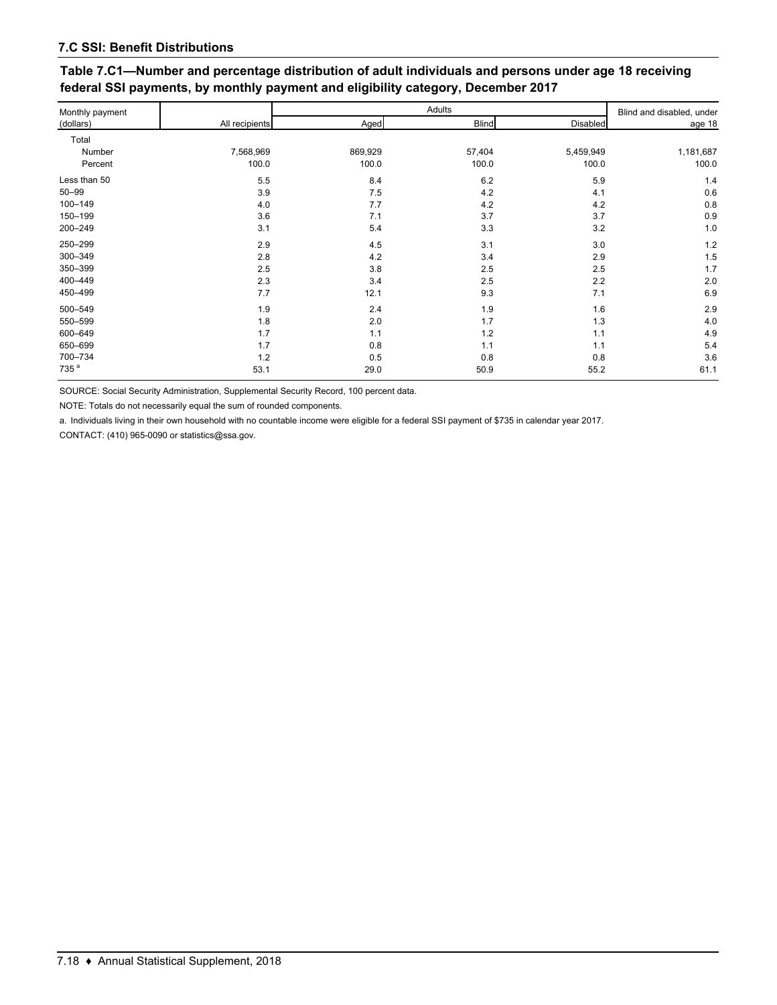| Monthly payment  | All recipients | Adults  |              |                 | Blind and disabled, under |
|------------------|----------------|---------|--------------|-----------------|---------------------------|
| (dollars)        |                | Aged    | <b>Blind</b> | <b>Disabled</b> | age 18                    |
| Total            |                |         |              |                 |                           |
| Number           | 7,568,969      | 869,929 | 57,404       | 5,459,949       | 1,181,687                 |
| Percent          | 100.0          | 100.0   | 100.0        | 100.0           | 100.0                     |
| Less than 50     | 5.5            | 8.4     | 6.2          | 5.9             | 1.4                       |
| $50 - 99$        | 3.9            | 7.5     | 4.2          | 4.1             | 0.6                       |
| 100-149          | 4.0            | 7.7     | 4.2          | 4.2             | 0.8                       |
| 150-199          | 3.6            | 7.1     | 3.7          | 3.7             | 0.9                       |
| 200-249          | 3.1            | 5.4     | 3.3          | 3.2             | 1.0                       |
| 250-299          | 2.9            | 4.5     | 3.1          | 3.0             | 1.2                       |
| 300-349          | 2.8            | 4.2     | 3.4          | 2.9             | 1.5                       |
| 350-399          | 2.5            | 3.8     | 2.5          | 2.5             | 1.7                       |
| 400-449          | 2.3            | 3.4     | 2.5          | 2.2             | 2.0                       |
| 450-499          | 7.7            | 12.1    | 9.3          | 7.1             | 6.9                       |
| 500-549          | 1.9            | 2.4     | 1.9          | 1.6             | 2.9                       |
| 550-599          | 1.8            | 2.0     | 1.7          | 1.3             | 4.0                       |
| 600-649          | 1.7            | 1.1     | 1.2          | 1.1             | 4.9                       |
| 650-699          | 1.7            | 0.8     | 1.1          | 1.1             | 5.4                       |
| 700-734          | 1.2            | 0.5     | 0.8          | 0.8             | 3.6                       |
| 735 <sup>a</sup> | 53.1           | 29.0    | 50.9         | 55.2            | 61.1                      |

## **Table 7.C1—Number and percentage distribution of adult individuals and persons under age 18 receiving federal SSI payments, by monthly payment and eligibility category, December 2017**

SOURCE: Social Security Administration, Supplemental Security Record, 100 percent data.

NOTE: Totals do not necessarily equal the sum of rounded components.

a. Individuals living in their own household with no countable income were eligible for a federal SSI payment of \$735 in calendar year 2017.

CONTACT: (410) 965-0090 or statistics@ssa.gov.